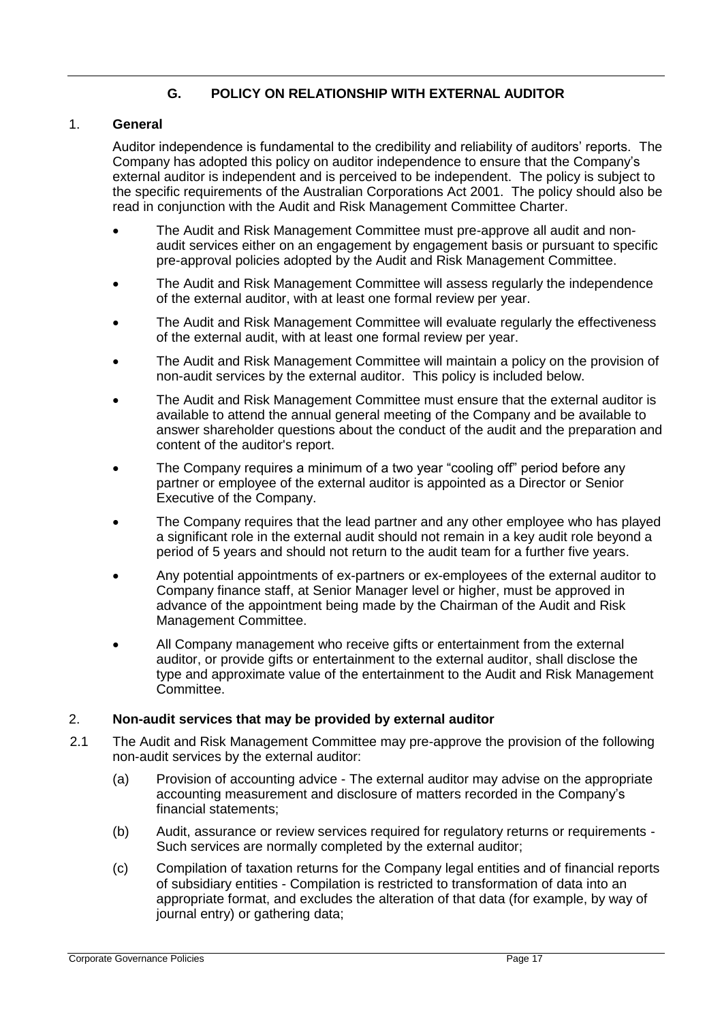## **G. POLICY ON RELATIONSHIP WITH EXTERNAL AUDITOR**

## 1. **General**

Auditor independence is fundamental to the credibility and reliability of auditors' reports. The Company has adopted this policy on auditor independence to ensure that the Company's external auditor is independent and is perceived to be independent. The policy is subject to the specific requirements of the Australian Corporations Act 2001. The policy should also be read in conjunction with the Audit and Risk Management Committee Charter.

- The Audit and Risk Management Committee must pre-approve all audit and nonaudit services either on an engagement by engagement basis or pursuant to specific pre-approval policies adopted by the Audit and Risk Management Committee.
- The Audit and Risk Management Committee will assess regularly the independence of the external auditor, with at least one formal review per year.
- The Audit and Risk Management Committee will evaluate regularly the effectiveness of the external audit, with at least one formal review per year.
- The Audit and Risk Management Committee will maintain a policy on the provision of non-audit services by the external auditor. This policy is included below.
- The Audit and Risk Management Committee must ensure that the external auditor is available to attend the annual general meeting of the Company and be available to answer shareholder questions about the conduct of the audit and the preparation and content of the auditor's report.
- The Company requires a minimum of a two year "cooling off" period before any partner or employee of the external auditor is appointed as a Director or Senior Executive of the Company.
- The Company requires that the lead partner and any other employee who has played a significant role in the external audit should not remain in a key audit role beyond a period of 5 years and should not return to the audit team for a further five years.
- Any potential appointments of ex-partners or ex-employees of the external auditor to Company finance staff, at Senior Manager level or higher, must be approved in advance of the appointment being made by the Chairman of the Audit and Risk Management Committee.
- All Company management who receive gifts or entertainment from the external auditor, or provide gifts or entertainment to the external auditor, shall disclose the type and approximate value of the entertainment to the Audit and Risk Management Committee.

## 2. **Non-audit services that may be provided by external auditor**

- 2.1 The Audit and Risk Management Committee may pre-approve the provision of the following non-audit services by the external auditor:
	- (a) Provision of accounting advice The external auditor may advise on the appropriate accounting measurement and disclosure of matters recorded in the Company's financial statements;
	- (b) Audit, assurance or review services required for regulatory returns or requirements Such services are normally completed by the external auditor;
	- (c) Compilation of taxation returns for the Company legal entities and of financial reports of subsidiary entities - Compilation is restricted to transformation of data into an appropriate format, and excludes the alteration of that data (for example, by way of journal entry) or gathering data;